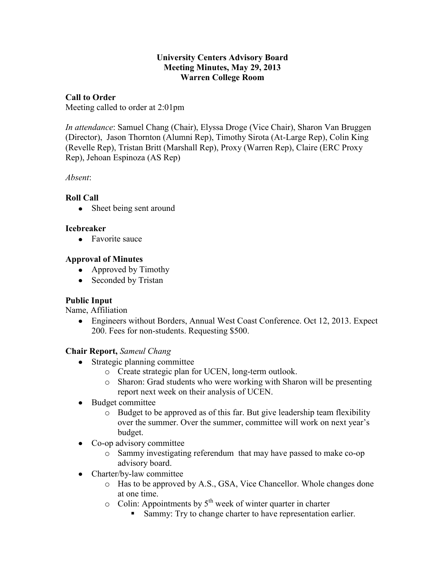### **University Centers Advisory Board Meeting Minutes, May 29, 2013 Warren College Room**

## **Call to Order**

Meeting called to order at 2:01pm

*In attendance*: Samuel Chang (Chair), Elyssa Droge (Vice Chair), Sharon Van Bruggen (Director), Jason Thornton (Alumni Rep), Timothy Sirota (At-Large Rep), Colin King (Revelle Rep), Tristan Britt (Marshall Rep), Proxy (Warren Rep), Claire (ERC Proxy Rep), Jehoan Espinoza (AS Rep)

*Absent*:

## **Roll Call**

• Sheet being sent around

### **Icebreaker**

• Favorite sauce

### **Approval of Minutes**

- Approved by Timothy
- Seconded by Tristan

### **Public Input**

Name, Affiliation

• Engineers without Borders, Annual West Coast Conference. Oct 12, 2013. Expect 200. Fees for non-students. Requesting \$500.

### **Chair Report,** *Sameul Chang*

- Strategic planning committee
	- o Create strategic plan for UCEN, long-term outlook.
	- o Sharon: Grad students who were working with Sharon will be presenting report next week on their analysis of UCEN.
- Budget committee
	- o Budget to be approved as of this far. But give leadership team flexibility over the summer. Over the summer, committee will work on next year's budget.
- Co-op advisory committee
	- o Sammy investigating referendum that may have passed to make co-op advisory board.
- Charter/by-law committee
	- o Has to be approved by A.S., GSA, Vice Chancellor. Whole changes done at one time.
	- $\circ$  Colin: Appointments by  $5<sup>th</sup>$  week of winter quarter in charter
		- Sammy: Try to change charter to have representation earlier.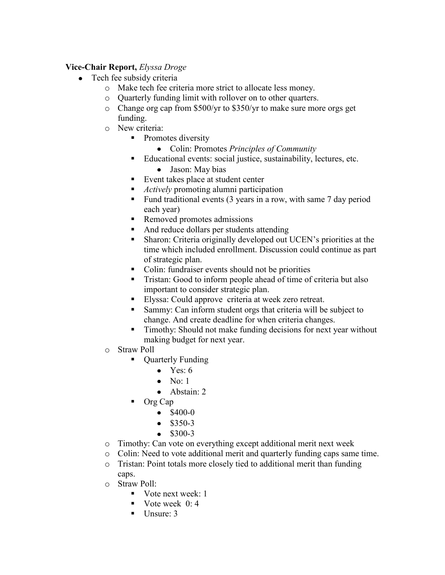## **Vice-Chair Report,** *Elyssa Droge*

- Tech fee subsidy criteria
	- o Make tech fee criteria more strict to allocate less money.
	- o Quarterly funding limit with rollover on to other quarters.
	- $\circ$  Change org cap from \$500/yr to \$350/yr to make sure more orgs get funding.
	- o New criteria:
		- Promotes diversity
			- Colin: Promotes *Principles of Community*
		- Educational events: social justice, sustainability, lectures, etc.
			- Jason: May bias
		- Event takes place at student center
		- *Actively* promoting alumni participation
		- Fund traditional events  $(3 \text{ years in a row}, \text{ with same 7 day period})$ each year)
		- Removed promotes admissions
		- And reduce dollars per students attending
		- Sharon: Criteria originally developed out UCEN's priorities at the time which included enrollment. Discussion could continue as part of strategic plan.
		- Colin: fundraiser events should not be priorities
		- **Tristan:** Good to inform people ahead of time of criteria but also important to consider strategic plan.
		- Elyssa: Could approve criteria at week zero retreat.
		- Sammy: Can inform student orgs that criteria will be subject to change. And create deadline for when criteria changes.
		- **Timothy:** Should not make funding decisions for next year without making budget for next year.
	- o Straw Poll
		- Quarterly Funding
			- Yes: 6
			- No:  $1$
			- Abstain: 2
		- Org Cap
			- $\bullet$  \$400-0
			- $•$  \$350-3
			- $\bullet$  \$300-3
	- o Timothy: Can vote on everything except additional merit next week
	- o Colin: Need to vote additional merit and quarterly funding caps same time.
	- o Tristan: Point totals more closely tied to additional merit than funding caps.
	- o Straw Poll:
		- Vote next week:  $1$
		- Vote week  $0:4$
		- $\blacksquare$  Unsure: 3